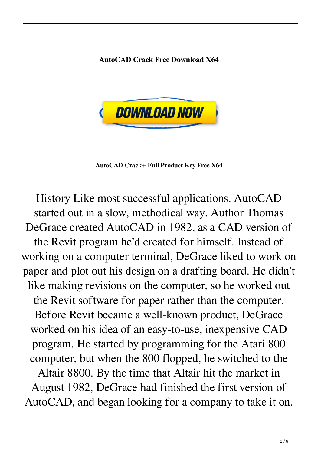**AutoCAD Crack Free Download X64**



**AutoCAD Crack+ Full Product Key Free X64**

History Like most successful applications, AutoCAD started out in a slow, methodical way. Author Thomas DeGrace created AutoCAD in 1982, as a CAD version of the Revit program he'd created for himself. Instead of working on a computer terminal, DeGrace liked to work on paper and plot out his design on a drafting board. He didn't like making revisions on the computer, so he worked out the Revit software for paper rather than the computer. Before Revit became a well-known product, DeGrace worked on his idea of an easy-to-use, inexpensive CAD program. He started by programming for the Atari 800 computer, but when the 800 flopped, he switched to the

Altair 8800. By the time that Altair hit the market in August 1982, DeGrace had finished the first version of AutoCAD, and began looking for a company to take it on.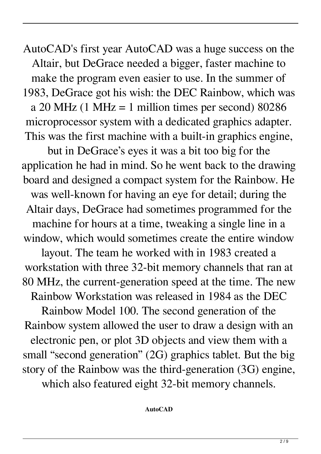AutoCAD's first year AutoCAD was a huge success on the Altair, but DeGrace needed a bigger, faster machine to make the program even easier to use. In the summer of 1983, DeGrace got his wish: the DEC Rainbow, which was a 20 MHz (1 MHz = 1 million times per second)  $80286$ microprocessor system with a dedicated graphics adapter. This was the first machine with a built-in graphics engine,

but in DeGrace's eyes it was a bit too big for the application he had in mind. So he went back to the drawing board and designed a compact system for the Rainbow. He was well-known for having an eye for detail; during the Altair days, DeGrace had sometimes programmed for the machine for hours at a time, tweaking a single line in a window, which would sometimes create the entire window layout. The team he worked with in 1983 created a workstation with three 32-bit memory channels that ran at 80 MHz, the current-generation speed at the time. The new Rainbow Workstation was released in 1984 as the DEC Rainbow Model 100. The second generation of the Rainbow system allowed the user to draw a design with an electronic pen, or plot 3D objects and view them with a small "second generation" (2G) graphics tablet. But the big story of the Rainbow was the third-generation (3G) engine,

which also featured eight 32-bit memory channels.

## **AutoCAD**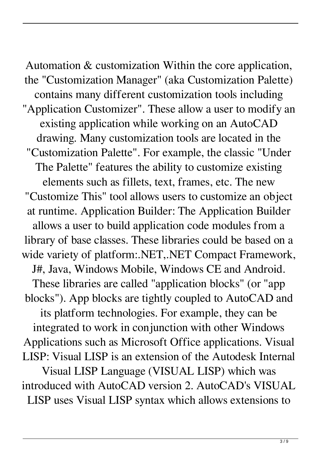Automation & customization Within the core application, the "Customization Manager" (aka Customization Palette) contains many different customization tools including "Application Customizer". These allow a user to modify an existing application while working on an AutoCAD drawing. Many customization tools are located in the "Customization Palette". For example, the classic "Under The Palette" features the ability to customize existing elements such as fillets, text, frames, etc. The new "Customize This" tool allows users to customize an object at runtime. Application Builder: The Application Builder allows a user to build application code modules from a library of base classes. These libraries could be based on a wide variety of platform:.NET,.NET Compact Framework, J#, Java, Windows Mobile, Windows CE and Android. These libraries are called "application blocks" (or "app blocks"). App blocks are tightly coupled to AutoCAD and its platform technologies. For example, they can be integrated to work in conjunction with other Windows Applications such as Microsoft Office applications. Visual LISP: Visual LISP is an extension of the Autodesk Internal Visual LISP Language (VISUAL LISP) which was

introduced with AutoCAD version 2. AutoCAD's VISUAL LISP uses Visual LISP syntax which allows extensions to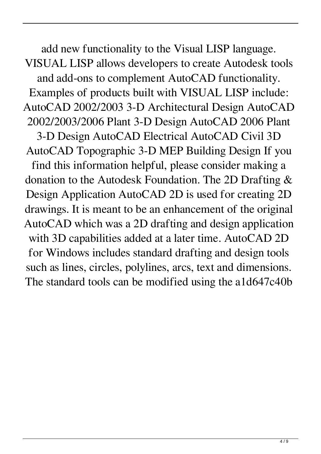add new functionality to the Visual LISP language. VISUAL LISP allows developers to create Autodesk tools and add-ons to complement AutoCAD functionality. Examples of products built with VISUAL LISP include: AutoCAD 2002/2003 3-D Architectural Design AutoCAD 2002/2003/2006 Plant 3-D Design AutoCAD 2006 Plant 3-D Design AutoCAD Electrical AutoCAD Civil 3D AutoCAD Topographic 3-D MEP Building Design If you find this information helpful, please consider making a donation to the Autodesk Foundation. The 2D Drafting & Design Application AutoCAD 2D is used for creating 2D drawings. It is meant to be an enhancement of the original AutoCAD which was a 2D drafting and design application with 3D capabilities added at a later time. AutoCAD 2D for Windows includes standard drafting and design tools such as lines, circles, polylines, arcs, text and dimensions. The standard tools can be modified using the a1d647c40b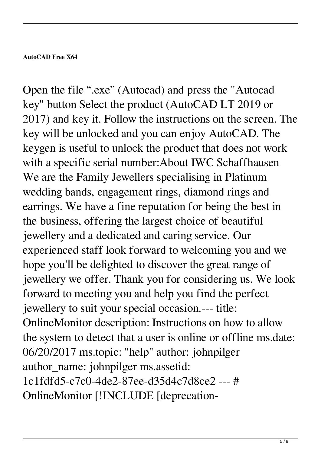## **AutoCAD Free X64**

Open the file ".exe" (Autocad) and press the "Autocad key" button Select the product (AutoCAD LT 2019 or 2017) and key it. Follow the instructions on the screen. The key will be unlocked and you can enjoy AutoCAD. The keygen is useful to unlock the product that does not work with a specific serial number:About IWC Schaffhausen We are the Family Jewellers specialising in Platinum wedding bands, engagement rings, diamond rings and earrings. We have a fine reputation for being the best in the business, offering the largest choice of beautiful jewellery and a dedicated and caring service. Our experienced staff look forward to welcoming you and we hope you'll be delighted to discover the great range of jewellery we offer. Thank you for considering us. We look forward to meeting you and help you find the perfect jewellery to suit your special occasion.--- title: OnlineMonitor description: Instructions on how to allow the system to detect that a user is online or offline ms.date: 06/20/2017 ms.topic: "help" author: johnpilger author\_name: johnpilger ms.assetid: 1c1fdfd5-c7c0-4de2-87ee-d35d4c7d8ce2 --- # OnlineMonitor [!INCLUDE [deprecation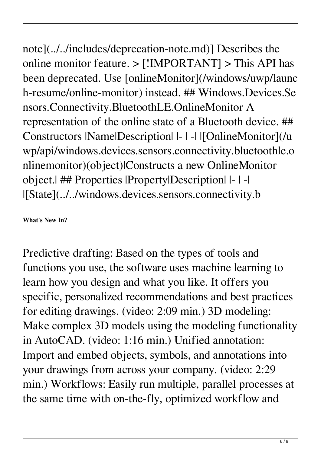note](../../includes/deprecation-note.md)] Describes the online monitor feature. > [!IMPORTANT] > This API has been deprecated. Use [onlineMonitor](/windows/uwp/launc h-resume/online-monitor) instead. ## Windows.Devices.Se nsors.Connectivity.BluetoothLE.OnlineMonitor A representation of the online state of a Bluetooth device. ## Constructors |Name|Description| |- | -| |[OnlineMonitor](/u wp/api/windows.devices.sensors.connectivity.bluetoothle.o nlinemonitor)(object)|Constructs a new OnlineMonitor object.| ## Properties |Property|Description| |- | -| |[State](../../windows.devices.sensors.connectivity.b

**What's New In?**

Predictive drafting: Based on the types of tools and functions you use, the software uses machine learning to learn how you design and what you like. It offers you specific, personalized recommendations and best practices for editing drawings. (video: 2:09 min.) 3D modeling: Make complex 3D models using the modeling functionality in AutoCAD. (video: 1:16 min.) Unified annotation: Import and embed objects, symbols, and annotations into your drawings from across your company. (video: 2:29 min.) Workflows: Easily run multiple, parallel processes at the same time with on-the-fly, optimized workflow and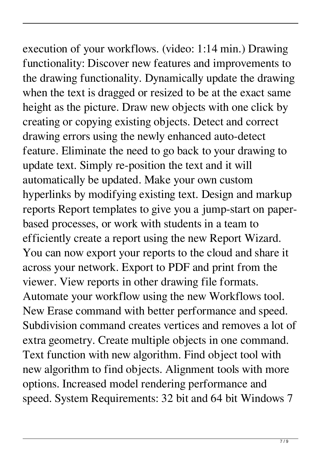## execution of your workflows. (video: 1:14 min.) Drawing

functionality: Discover new features and improvements to the drawing functionality. Dynamically update the drawing when the text is dragged or resized to be at the exact same height as the picture. Draw new objects with one click by creating or copying existing objects. Detect and correct drawing errors using the newly enhanced auto-detect feature. Eliminate the need to go back to your drawing to update text. Simply re-position the text and it will automatically be updated. Make your own custom hyperlinks by modifying existing text. Design and markup reports Report templates to give you a jump-start on paperbased processes, or work with students in a team to efficiently create a report using the new Report Wizard. You can now export your reports to the cloud and share it across your network. Export to PDF and print from the viewer. View reports in other drawing file formats. Automate your workflow using the new Workflows tool. New Erase command with better performance and speed. Subdivision command creates vertices and removes a lot of extra geometry. Create multiple objects in one command. Text function with new algorithm. Find object tool with new algorithm to find objects. Alignment tools with more options. Increased model rendering performance and speed. System Requirements: 32 bit and 64 bit Windows 7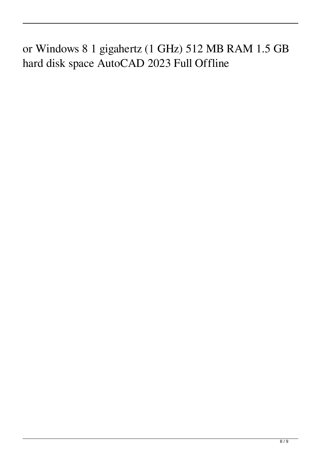or Windows 8 1 gigahertz (1 GHz) 512 MB RAM 1.5 GB hard disk space AutoCAD 2023 Full Offline